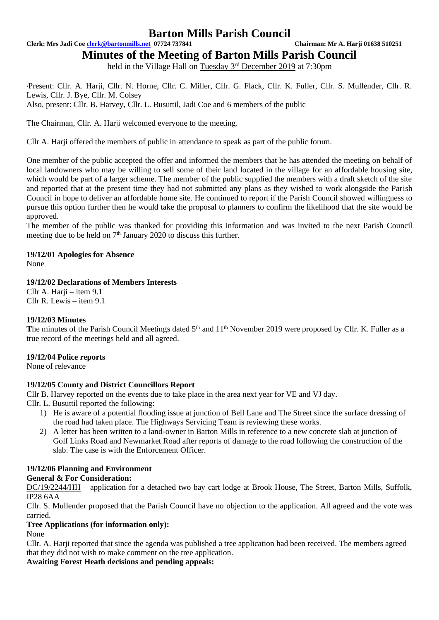**Clerk: Mrs Jadi Coe [clerk@bartonmills.net](mailto:clerk@bartonmills.net) 07724 737841 Chairman: Mr A. Harji 01638 510251**

**Minutes of the Meeting of Barton Mills Parish Council**

held in the Village Hall on Tuesday 3<sup>rd</sup> December 2019 at 7:30pm

\*Present: Cllr. A. Harji, Cllr. N. Horne, Cllr. C. Miller, Cllr. G. Flack, Cllr. K. Fuller, Cllr. S. Mullender, Cllr. R. Lewis, Cllr. J. Bye, Cllr. M. Colsey

Also, present: Cllr. B. Harvey, Cllr. L. Busuttil, Jadi Coe and 6 members of the public

# The Chairman, Cllr. A. Harji welcomed everyone to the meeting.

Cllr A. Harji offered the members of public in attendance to speak as part of the public forum.

One member of the public accepted the offer and informed the members that he has attended the meeting on behalf of local landowners who may be willing to sell some of their land located in the village for an affordable housing site, which would be part of a larger scheme. The member of the public supplied the members with a draft sketch of the site and reported that at the present time they had not submitted any plans as they wished to work alongside the Parish Council in hope to deliver an affordable home site. He continued to report if the Parish Council showed willingness to pursue this option further then he would take the proposal to planners to confirm the likelihood that the site would be approved.

The member of the public was thanked for providing this information and was invited to the next Parish Council meeting due to be held on 7<sup>th</sup> January 2020 to discuss this further.

### **19/12/01 Apologies for Absence**

None

# **19/12/02 Declarations of Members Interests**

 $Cllr A. Harii - item 9.1$ Cllr R. Lewis – item 9.1

#### **19/12/03 Minutes**

The minutes of the Parish Council Meetings dated 5<sup>th</sup> and 11<sup>th</sup> November 2019 were proposed by Cllr. K. Fuller as a true record of the meetings held and all agreed.

# **19/12/04 Police reports**

None of relevance

# **19/12/05 County and District Councillors Report**

Cllr B. Harvey reported on the events due to take place in the area next year for VE and VJ day.

- Cllr. L. Busuttil reported the following:
	- 1) He is aware of a potential flooding issue at junction of Bell Lane and The Street since the surface dressing of the road had taken place. The Highways Servicing Team is reviewing these works.
	- 2) A letter has been written to a land-owner in Barton Mills in reference to a new concrete slab at junction of Golf Links Road and Newmarket Road after reports of damage to the road following the construction of the slab. The case is with the Enforcement Officer.

# **19/12/06 Planning and Environment**

# **General & For Consideration:**

DC/19/2244/HH – application for a detached two bay cart lodge at Brook House, The Street, Barton Mills, Suffolk, IP28 6AA

Cllr. S. Mullender proposed that the Parish Council have no objection to the application. All agreed and the vote was carried.

#### **Tree Applications (for information only):**

None

Cllr. A. Harji reported that since the agenda was published a tree application had been received. The members agreed that they did not wish to make comment on the tree application.

# **Awaiting Forest Heath decisions and pending appeals:**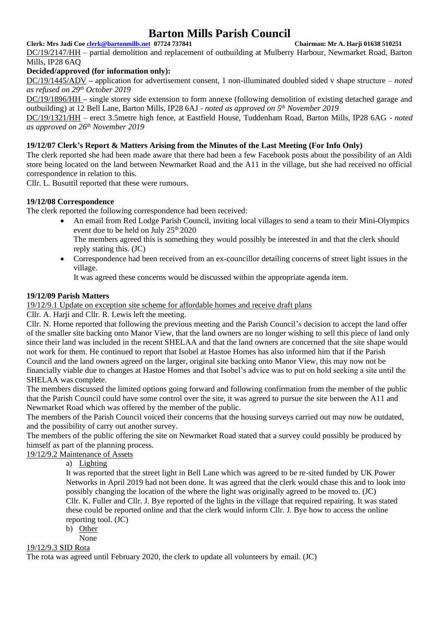# **Clerk: Mrs Jadi Coe [clerk@bartonmills.net](mailto:clerk@bartonmills.net) 07724 737841 Chairman: Mr A. Harji 01638 510251**

DC/19/2147/HH – partial demolition and replacement of outbuilding at Mulberry Harbour, Newmarket Road, Barton Mills, IP28 6AQ

# **Decided/approved (for information only):**

DC/19/1445/ADV **–** application for advertisement consent, 1 non-illuminated doubled sided v shape structure *– noted as refused on 29th October 2019*

DC/19/1896/HH **–** single storey side extension to form annexe (following demolition of existing detached garage and outbuilding) at 12 Bell Lane, Barton Mills, IP28 6AJ - *noted as approved on 5 th November 2019*

DC/19/1321/HH – erect 3.5metre high fence, at Eastfield House, Tuddenham Road, Barton Mills, IP28 6AG - *noted as approved on 26th November 2019*

# **19/12/07 Clerk's Report & Matters Arising from the Minutes of the Last Meeting (For Info Only)**

The clerk reported she had been made aware that there had been a few Facebook posts about the possibility of an Aldi store being located on the land between Newmarket Road and the A11 in the village, but she had received no official correspondence in relation to this.

Cllr. L. Busuttil reported that these were rumours.

# **19/12/08 Correspondence**

The clerk reported the following correspondence had been received:

- An email from Red Lodge Parish Council, inviting local villages to send a team to their Mini-Olympics event due to be held on July 25<sup>th</sup> 2020
	- The members agreed this is something they would possibly be interested in and that the clerk should reply stating this. (JC)
- Correspondence had been received from an ex-councillor detailing concerns of street light issues in the village.

It was agreed these concerns would be discussed within the appropriate agenda item.

# **19/12/09 Parish Matters**

19/12/9.1 Update on exception site scheme for affordable homes and receive draft plans

Cllr. A. Harii and Cllr. R. Lewis left the meeting.

Cllr. N. Horne reported that following the previous meeting and the Parish Council's decision to accept the land offer of the smaller site backing onto Manor View, that the land owners are no longer wishing to sell this piece of land only since their land was included in the recent SHELAA and that the land owners are concerned that the site shape would not work for them. He continued to report that Isobel at Hastoe Homes has also informed him that if the Parish Council and the land owners agreed on the larger, original site backing onto Manor View, this may now not be financially viable due to changes at Hastoe Homes and that Isobel's advice was to put on hold seeking a site until the SHELAA was complete.

The members discussed the limited options going forward and following confirmation from the member of the public that the Parish Council could have some control over the site, it was agreed to pursue the site between the A11 and Newmarket Road which was offered by the member of the public.

The members of the Parish Council voiced their concerns that the housing surveys carried out may now be outdated, and the possibility of carry out another survey.

The members of the public offering the site on Newmarket Road stated that a survey could possibly be produced by himself as part of the planning process.

19/12/9.2 Maintenance of Assets

a) Lighting

It was reported that the street light in Bell Lane which was agreed to be re-sited funded by UK Power Networks in April 2019 had not been done. It was agreed that the clerk would chase this and to look into possibly changing the location of the where the light was originally agreed to be moved to. (JC) Cllr. K. Fuller and Cllr. J. Bye reported of the lights in the village that required repairing. It was stated these could be reported online and that the clerk would inform Cllr. J. Bye how to access the online reporting tool. (JC)

b) Other

None

### 19/12/9.3 SID Rota

The rota was agreed until February 2020, the clerk to update all volunteers by email. (JC)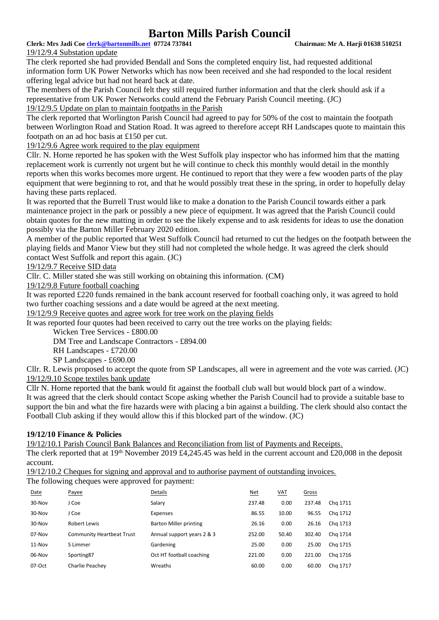**Clerk: Mrs Jadi Coe [clerk@bartonmills.net](mailto:clerk@bartonmills.net) 07724 737841 Chairman: Mr A. Harji 01638 510251**

19/12/9.4 Substation update

The clerk reported she had provided Bendall and Sons the completed enquiry list, had requested additional information form UK Power Networks which has now been received and she had responded to the local resident offering legal advice but had not heard back at date.

The members of the Parish Council felt they still required further information and that the clerk should ask if a representative from UK Power Networks could attend the February Parish Council meeting. (JC) 19/12/9.5 Update on plan to maintain footpaths in the Parish

The clerk reported that Worlington Parish Council had agreed to pay for 50% of the cost to maintain the footpath between Worlington Road and Station Road. It was agreed to therefore accept RH Landscapes quote to maintain this footpath on an ad hoc basis at £150 per cut.

19/12/9.6 Agree work required to the play equipment

Cllr. N. Horne reported he has spoken with the West Suffolk play inspector who has informed him that the matting replacement work is currently not urgent but he will continue to check this monthly would detail in the monthly reports when this works becomes more urgent. He continued to report that they were a few wooden parts of the play equipment that were beginning to rot, and that he would possibly treat these in the spring, in order to hopefully delay having these parts replaced.

It was reported that the Burrell Trust would like to make a donation to the Parish Council towards either a park maintenance project in the park or possibly a new piece of equipment. It was agreed that the Parish Council could obtain quotes for the new matting in order to see the likely expense and to ask residents for ideas to use the donation possibly via the Barton Miller February 2020 edition.

A member of the public reported that West Suffolk Council had returned to cut the hedges on the footpath between the playing fields and Manor View but they still had not completed the whole hedge. It was agreed the clerk should contact West Suffolk and report this again. (JC)

# 19/12/9.7 Receive SID data

Cllr. C. Miller stated she was still working on obtaining this information. (CM)

19/12/9.8 Future football coaching

It was reported £220 funds remained in the bank account reserved for football coaching only, it was agreed to hold two further coaching sessions and a date would be agreed at the next meeting.

19/12/9.9 Receive quotes and agree work for tree work on the playing fields

It was reported four quotes had been received to carry out the tree works on the playing fields:

Wicken Tree Services - £800.00

DM Tree and Landscape Contractors - £894.00

RH Landscapes - £720.00

SP Landscapes - £690.00

Cllr. R. Lewis proposed to accept the quote from SP Landscapes, all were in agreement and the vote was carried. (JC) 19/12/9.10 Scope textiles bank update

Cllr N. Horne reported that the bank would fit against the football club wall but would block part of a window. It was agreed that the clerk should contact Scope asking whether the Parish Council had to provide a suitable base to support the bin and what the fire hazards were with placing a bin against a building. The clerk should also contact the Football Club asking if they would allow this if this blocked part of the window. (JC)

# **19/12/10 Finance & Policies**

19/12/10.1 Parish Council Bank Balances and Reconciliation from list of Payments and Receipts.

The clerk reported that at 19<sup>th</sup> November 2019 £4,245.45 was held in the current account and £20,008 in the deposit account.

19/12/10.2 Cheques for signing and approval and to authorise payment of outstanding invoices.

The following cheques were approved for payment:

| Date     | Payee                            | Details                    | <b>Net</b> | <u>VAT</u> | Gross  |          |
|----------|----------------------------------|----------------------------|------------|------------|--------|----------|
| 30-Nov   | J Coe                            | Salary                     | 237.48     | 0.00       | 237.48 | Chg 1711 |
| $30-Nov$ | J Coe                            | Expenses                   | 86.55      | 10.00      | 96.55  | Chg 1712 |
| 30-Nov   | Robert Lewis                     | Barton Miller printing     | 26.16      | 0.00       | 26.16  | Chg 1713 |
| 07-Nov   | <b>Community Heartbeat Trust</b> | Annual support years 2 & 3 | 252.00     | 50.40      | 302.40 | Chg 1714 |
| $11-Nov$ | S Limmer                         | Gardening                  | 25.00      | 0.00       | 25.00  | Chg 1715 |
| $06-Nov$ | Sporting87                       | Oct HT football coaching   | 221.00     | 0.00       | 221.00 | Cha 1716 |
| 07-Oct   | Charlie Peachey                  | Wreaths                    | 60.00      | 0.00       | 60.00  | Chg 1717 |
|          |                                  |                            |            |            |        |          |